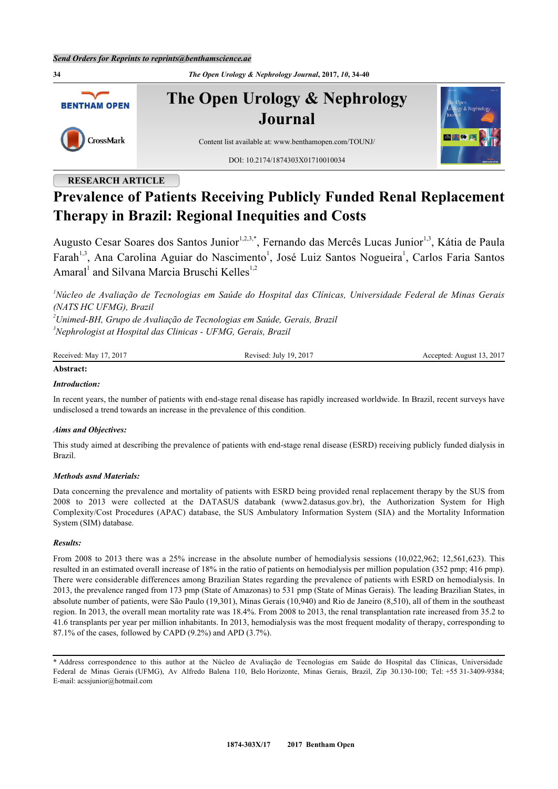**34** *The Open Urology & Nephrology Journal***, 2017,** *10***, 34-40 The Open Urology & Nephrology BENTHAM OPEN Journal** CrossMark Content list available at: [www.benthamopen.com/TOUNJ/](http://www.benthamopen.com/TOUNJ/) DOI: [10.2174/1874303X01710010034](http://dx.doi.org/10.2174/1874303X01710010034)

# **RESEARCH ARTICLE**

# **Prevalence of Patients Receiving Publicly Funded Renal Replacement Therapy in Brazil: Regional Inequities and Costs**

Augusto Cesar Soares dos Santos Junior<sup>[1,](#page-0-0)[2,](#page-0-1)[3,](#page-0-2)[\\*](#page-0-3)</sup>, Fernando das Mercês Lucas Junior<sup>[1](#page-0-0),[3](#page-0-2)</sup>, Kátia de Paula Farah<sup>[1,](#page-0-0)[3](#page-0-2)</sup>, Ana Carolina Aguiar do Nascimento<sup>[1](#page-0-0)</sup>, José Luiz Santos Nogueira<sup>1</sup>, Carlos Faria Santos Amaral<sup>[1](#page-0-0)</sup> and Silvana Marcia Bruschi Kelles<sup>[1,](#page-0-0)[2](#page-0-1)</sup>

<span id="page-0-0"></span>*<sup>1</sup>Núcleo de Avaliação de Tecnologias em Saúde do Hospital das Clínicas, Universidade Federal de Minas Gerais (NATS HC UFMG), Brazil*

<span id="page-0-2"></span><span id="page-0-1"></span>*<sup>2</sup>Unimed-BH, Grupo de Avaliação de Tecnologias em Saúde, Gerais, Brazil <sup>3</sup>Nephrologist at Hospital das Clinicas - UFMG, Gerais, Brazil*

| Received: May 17, 2017 | Revised: July 19, 2017 | August 13, 2017<br>Accepted: At |
|------------------------|------------------------|---------------------------------|
|                        |                        |                                 |

# **Abstract:**

# *Introduction:*

In recent years, the number of patients with end-stage renal disease has rapidly increased worldwide. In Brazil, recent surveys have undisclosed a trend towards an increase in the prevalence of this condition.

### *Aims and Objectives:*

This study aimed at describing the prevalence of patients with end-stage renal disease (ESRD) receiving publicly funded dialysis in Brazil.

### *Methods asnd Materials:*

Data concerning the prevalence and mortality of patients with ESRD being provided renal replacement therapy by the SUS from 2008 to 2013 were collected at the DATASUS databank (www2.datasus.gov.br), the Authorization System for High Complexity/Cost Procedures (APAC) database, the SUS Ambulatory Information System (SIA) and the Mortality Information System (SIM) database.

### *Results:*

From 2008 to 2013 there was a 25% increase in the absolute number of hemodialysis sessions (10,022,962; 12,561,623). This resulted in an estimated overall increase of 18% in the ratio of patients on hemodialysis per million population (352 pmp; 416 pmp). There were considerable differences among Brazilian States regarding the prevalence of patients with ESRD on hemodialysis. In 2013, the prevalence ranged from 173 pmp (State of Amazonas) to 531 pmp (State of Minas Gerais). The leading Brazilian States, in absolute number of patients, were São Paulo (19,301), Minas Gerais (10,940) and Rio de Janeiro (8,510), all of them in the southeast region. In 2013, the overall mean mortality rate was 18.4%. From 2008 to 2013, the renal transplantation rate increased from 35.2 to 41.6 transplants per year per million inhabitants. In 2013, hemodialysis was the most frequent modality of therapy, corresponding to 87.1% of the cases, followed by CAPD (9.2%) and APD (3.7%).

<span id="page-0-3"></span>\* Address correspondence to this author at the Núcleo de Avaliação de Tecnologias em Saúde do Hospital das Clínicas, Universidade Federal de Minas Gerais (UFMG), Av Alfredo Balena 110, Belo Horizonte, Minas Gerais, Brazil, Zip 30.130-100; Tel: +55 31-3409-9384; E-mail: [acssjunior@hotmail.com](mailto:acssjunior@hotmail.com)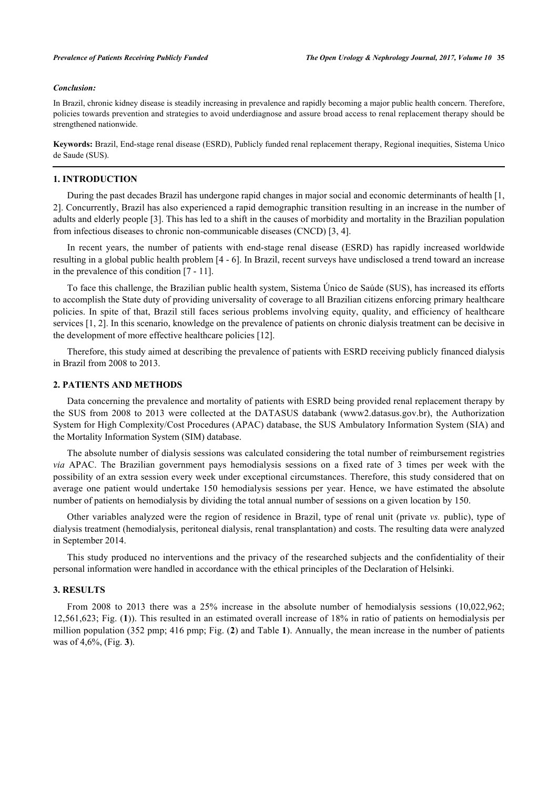### *Conclusion:*

In Brazil, chronic kidney disease is steadily increasing in prevalence and rapidly becoming a major public health concern. Therefore, policies towards prevention and strategies to avoid underdiagnose and assure broad access to renal replacement therapy should be strengthened nationwide.

**Keywords:** Brazil, End-stage renal disease (ESRD), Publicly funded renal replacement therapy, Regional inequities, Sistema Unico de Saude (SUS).

### **1. INTRODUCTION**

During the past decades Brazil has undergone rapid changes in major social and economic determinants of health [[1](#page-5-0), [2\]](#page-5-1). Concurrently, Brazil has also experienced a rapid demographic transition resulting in an increase in the number of adults and elderly people [[3\]](#page-5-2). This has led to a shift in the causes of morbidity and mortality in the Brazilian population from infectious diseases to chronic non-communicable diseases (CNCD) [[3,](#page-5-2) [4\]](#page-5-3).

In recent years, the number of patients with end-stage renal disease (ESRD) has rapidly increased worldwide resulting in a global public health problem [[4](#page-5-3) - [6](#page-6-0)]. In Brazil, recent surveys have undisclosed a trend toward an increase in the prevalence of this condition [[7](#page-6-1) - [11](#page-6-2)].

To face this challenge, the Brazilian public health system, Sistema Único de Saúde (SUS), has increased its efforts to accomplish the State duty of providing universality of coverage to all Brazilian citizens enforcing primary healthcare policies. In spite of that, Brazil still faces serious problems involving equity, quality, and efficiency of healthcare services [[1,](#page-5-0) [2\]](#page-5-1). In this scenario, knowledge on the prevalence of patients on chronic dialysis treatment can be decisive in the development of more effective healthcare policies [\[12](#page-6-3)].

Therefore, this study aimed at describing the prevalence of patients with ESRD receiving publicly financed dialysis in Brazil from 2008 to 2013.

### **2. PATIENTS AND METHODS**

Data concerning the prevalence and mortality of patients with ESRD being provided renal replacement therapy by the SUS from 2008 to 2013 were collected at the DATASUS databank([www2.datasus.gov.br\)](http://www2.datasus.gov.br), the Authorization System for High Complexity/Cost Procedures (APAC) database, the SUS Ambulatory Information System (SIA) and the Mortality Information System (SIM) database.

The absolute number of dialysis sessions was calculated considering the total number of reimbursement registries *via* APAC. The Brazilian government pays hemodialysis sessions on a fixed rate of 3 times per week with the possibility of an extra session every week under exceptional circumstances. Therefore, this study considered that on average one patient would undertake 150 hemodialysis sessions per year. Hence, we have estimated the absolute number of patients on hemodialysis by dividing the total annual number of sessions on a given location by 150.

Other variables analyzed were the region of residence in Brazil, type of renal unit (private *vs.* public), type of dialysis treatment (hemodialysis, peritoneal dialysis, renal transplantation) and costs. The resulting data were analyzed in September 2014.

This study produced no interventions and the privacy of the researched subjects and the confidentiality of their personal information were handled in accordance with the ethical principles of the Declaration of Helsinki.

### **3. RESULTS**

<span id="page-1-0"></span>From 2008 to 2013 there was a 25% increase in the absolute number of hemodialysis sessions (10,022,962; 12,561,623; Fig. (**[1](#page-1-0)**)). This resulted in an estimated overall increase of 18% in ratio of patients on hemodialysis per million population (352 pmp; 416 pmp; Fig. (**[2](#page-2-0)**) and Table **[1](#page-2-1)**). Annually, the mean increase in the number of patients was of 4,6%, (Fig. **[3](#page-3-0)**).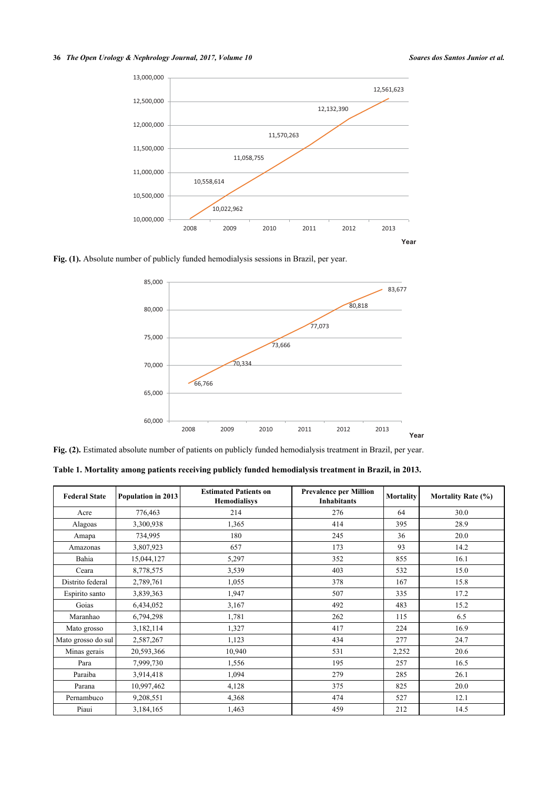### **36** *The Open Urology & Nephrology Journal, 2017, Volume 10 Soares dos Santos Junior et al.*



<span id="page-2-0"></span>**Fig. (1).** Absolute number of publicly funded hemodialysis sessions in Brazil, per year.



Fig. (2). Estimated absolute number of patients on publicly funded hemodialysis treatment in Brazil, per year.

<span id="page-2-1"></span>**Table 1. Mortality among patients receiving publicly funded hemodialysis treatment in Brazil, in 2013.**

| <b>Federal State</b> | Population in 2013 | <b>Estimated Patients on</b><br><b>Hemodialisys</b> | <b>Prevalence per Million</b><br><b>Inhabitants</b> | <b>Mortality</b> | <b>Mortality Rate (%)</b> |
|----------------------|--------------------|-----------------------------------------------------|-----------------------------------------------------|------------------|---------------------------|
| Acre                 | 776,463            | 214                                                 | 276                                                 | 64               | 30.0                      |
| Alagoas              | 3,300,938          | 1,365                                               | 414                                                 | 395              | 28.9                      |
| Amapa                | 734,995            | 180                                                 | 245                                                 | 36               | 20.0                      |
| Amazonas             | 3,807,923          | 657                                                 | 173                                                 | 93               | 14.2                      |
| Bahia                | 15,044,127         | 5,297                                               | 352                                                 | 855              | 16.1                      |
| Ceara                | 8,778,575          | 3,539                                               | 403                                                 | 532              | 15.0                      |
| Distrito federal     | 2,789,761          | 1,055                                               | 378                                                 | 167              | 15.8                      |
| Espirito santo       | 3,839,363          | 1,947                                               | 507                                                 | 335              | 17.2                      |
| Goias                | 6,434,052          | 3,167                                               | 492                                                 | 483              | 15.2                      |
| Maranhao             | 6,794,298          | 1,781                                               | 262                                                 | 115              | 6.5                       |
| Mato grosso          | 3,182,114          | 1,327                                               | 417                                                 | 224              | 16.9                      |
| Mato grosso do sul   | 2,587,267          | 1,123                                               | 434                                                 | 277              | 24.7                      |
| Minas gerais         | 20,593,366         | 10,940                                              | 531                                                 | 2,252            | 20.6                      |
| Para                 | 7,999,730          | 1,556                                               | 195                                                 | 257              | 16.5                      |
| Paraiba              | 3,914,418          | 1,094                                               | 279                                                 | 285              | 26.1                      |
| Parana               | 10,997,462         | 4,128                                               | 375                                                 | 825              | 20.0                      |
| Pernambuco           | 9,208,551          | 4,368                                               | 474                                                 | 527              | 12.1                      |
| Piaui                | 3,184,165          | 1,463                                               | 459                                                 | 212              | 14.5                      |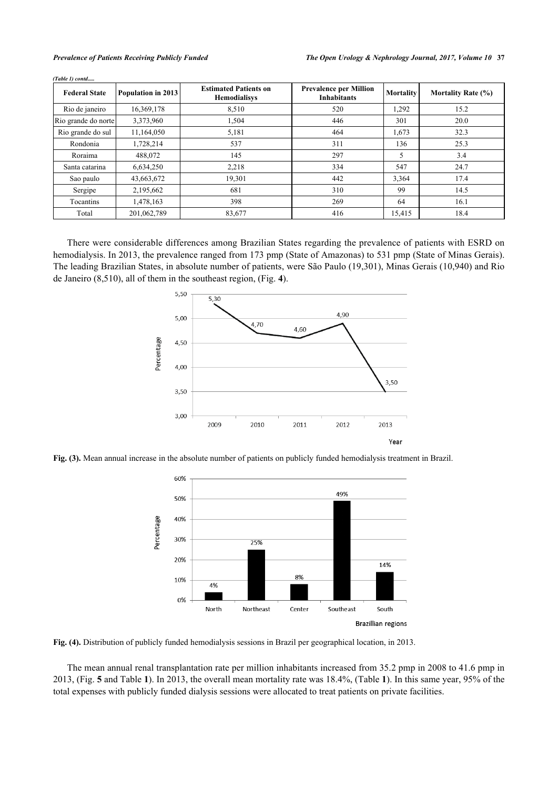| <b>Federal State</b> | Population in 2013 | <b>Estimated Patients on</b><br><b>Hemodialisys</b> | <b>Prevalence per Million</b><br><b>Inhabitants</b> | Mortality | <b>Mortality Rate (%)</b> |
|----------------------|--------------------|-----------------------------------------------------|-----------------------------------------------------|-----------|---------------------------|
| Rio de janeiro       | 16,369,178         | 8,510                                               | 520                                                 | 1,292     | 15.2                      |
| Rio grande do norte  | 3,373,960          | 1,504                                               | 446                                                 | 301       | 20.0                      |
| Rio grande do sul    | 11,164,050         | 5,181                                               | 464                                                 | 1,673     | 32.3                      |
| Rondonia             | 1,728,214          | 537                                                 | 311                                                 | 136       | 25.3                      |
| Roraima              | 488,072            | 145                                                 | 297                                                 | 5         | 3.4                       |
| Santa catarina       | 6,634,250          | 2.218                                               | 334                                                 | 547       | 24.7                      |
| Sao paulo            | 43,663,672         | 19,301                                              | 442                                                 | 3,364     | 17.4                      |
| Sergipe              | 2,195,662          | 681                                                 | 310                                                 | 99        | 14.5                      |
| Tocantins            | 1,478,163          | 398                                                 | 269                                                 | 64        | 16.1                      |
| Total                | 201,062,789        | 83,677                                              | 416                                                 | 15,415    | 18.4                      |

*(Table 1) contd.....*

<span id="page-3-0"></span>There were considerable differences among Brazilian States regarding the prevalence of patients with ESRD on hemodialysis. In 2013, the prevalence ranged from 173 pmp (State of Amazonas) to 531 pmp (State of Minas Gerais). The leading Brazilian States, in absolute number of patients, were São Paulo (19,301), Minas Gerais (10,940) and Rio de Janeiro (8,510), all of them in the southeast region, (Fig. **[4](#page-3-1)**).



<span id="page-3-1"></span>**Fig. (3).** Mean annual increase in the absolute number of patients on publicly funded hemodialysis treatment in Brazil.



**Fig. (4).** Distribution of publicly funded hemodialysis sessions in Brazil per geographical location, in 2013.

The mean annual renal transplantation rate per million inhabitants increased from 35.2 pmp in 2008 to 41.6 pmp in 2013, (Fig. **[5](#page-4-0)** and Table **[1](#page-2-1)**). In 2013, the overall mean mortality rate was 18.4%, (Table **[1](#page-2-1)**). In this same year, 95% of the total expenses with publicly funded dialysis sessions were allocated to treat patients on private facilities.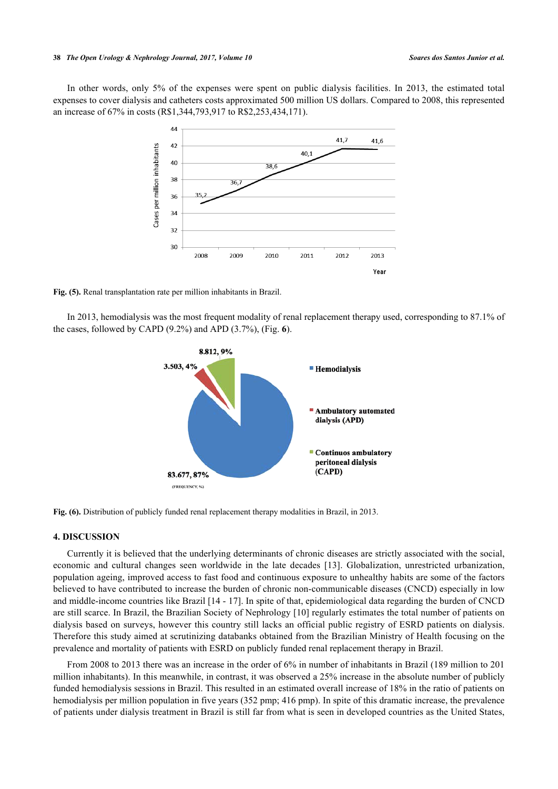### **38** *The Open Urology & Nephrology Journal, 2017, Volume 10 Soares dos Santos Junior et al.*

<span id="page-4-0"></span>In other words, only 5% of the expenses were spent on public dialysis facilities. In 2013, the estimated total expenses to cover dialysis and catheters costs approximated 500 million US dollars. Compared to 2008, this represented an increase of 67% in costs (R\$1,344,793,917 to R\$2,253,434,171).



**Fig. (5).** Renal transplantation rate per million inhabitants in Brazil.

<span id="page-4-1"></span>In 2013, hemodialysis was the most frequent modality of renal replacement therapy used, corresponding to 87.1% of the cases, followed by CAPD (9.2%) and APD (3.7%), (Fig. **[6](#page-4-1)**).



**Fig. (6).** Distribution of publicly funded renal replacement therapy modalities in Brazil, in 2013.

# **4. DISCUSSION**

Currently it is believed that the underlying determinants of chronic diseases are strictly associated with the social, economic and cultural changes seen worldwide in the late decades[[13\]](#page-6-4). Globalization, unrestricted urbanization, population ageing, improved access to fast food and continuous exposure to unhealthy habits are some of the factors believed to have contributed to increase the burden of chronic non-communicable diseases (CNCD) especially in low and middle-income countries like Brazil [\[14](#page-6-5) - [17\]](#page-6-6). In spite of that, epidemiological data regarding the burden of CNCD are still scarce. In Brazil, the Brazilian Society of Nephrology [[10\]](#page-6-7) regularly estimates the total number of patients on dialysis based on surveys, however this country still lacks an official public registry of ESRD patients on dialysis. Therefore this study aimed at scrutinizing databanks obtained from the Brazilian Ministry of Health focusing on the prevalence and mortality of patients with ESRD on publicly funded renal replacement therapy in Brazil.

From 2008 to 2013 there was an increase in the order of 6% in number of inhabitants in Brazil (189 million to 201 million inhabitants). In this meanwhile, in contrast, it was observed a 25% increase in the absolute number of publicly funded hemodialysis sessions in Brazil. This resulted in an estimated overall increase of 18% in the ratio of patients on hemodialysis per million population in five years (352 pmp; 416 pmp). In spite of this dramatic increase, the prevalence of patients under dialysis treatment in Brazil is still far from what is seen in developed countries as the United States,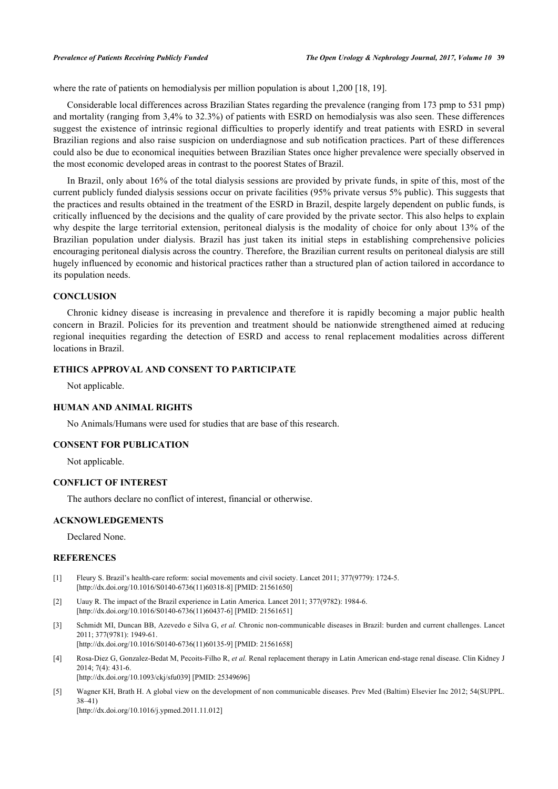where the rate of patients on hemodialysis per million population is about 1,200 [\[18](#page-6-8), [19](#page-6-9)].

Considerable local differences across Brazilian States regarding the prevalence (ranging from 173 pmp to 531 pmp) and mortality (ranging from 3,4% to 32.3%) of patients with ESRD on hemodialysis was also seen. These differences suggest the existence of intrinsic regional difficulties to properly identify and treat patients with ESRD in several Brazilian regions and also raise suspicion on underdiagnose and sub notification practices. Part of these differences could also be due to economical inequities between Brazilian States once higher prevalence were specially observed in the most economic developed areas in contrast to the poorest States of Brazil.

In Brazil, only about 16% of the total dialysis sessions are provided by private funds, in spite of this, most of the current publicly funded dialysis sessions occur on private facilities (95% private versus 5% public). This suggests that the practices and results obtained in the treatment of the ESRD in Brazil, despite largely dependent on public funds, is critically influenced by the decisions and the quality of care provided by the private sector. This also helps to explain why despite the large territorial extension, peritoneal dialysis is the modality of choice for only about 13% of the Brazilian population under dialysis. Brazil has just taken its initial steps in establishing comprehensive policies encouraging peritoneal dialysis across the country. Therefore, the Brazilian current results on peritoneal dialysis are still hugely influenced by economic and historical practices rather than a structured plan of action tailored in accordance to its population needs.

### **CONCLUSION**

Chronic kidney disease is increasing in prevalence and therefore it is rapidly becoming a major public health concern in Brazil. Policies for its prevention and treatment should be nationwide strengthened aimed at reducing regional inequities regarding the detection of ESRD and access to renal replacement modalities across different locations in Brazil.

# **ETHICS APPROVAL AND CONSENT TO PARTICIPATE**

Not applicable.

### **HUMAN AND ANIMAL RIGHTS**

No Animals/Humans were used for studies that are base of this research.

# **CONSENT FOR PUBLICATION**

Not applicable.

### **CONFLICT OF INTEREST**

The authors declare no conflict of interest, financial or otherwise.

### **ACKNOWLEDGEMENTS**

Declared None.

# **REFERENCES**

- <span id="page-5-0"></span>[1] Fleury S. Brazil's health-care reform: social movements and civil society. Lancet 2011; 377(9779): 1724-5. [\[http://dx.doi.org/10.1016/S0140-6736\(11\)60318-8\]](http://dx.doi.org/10.1016/S0140-6736(11)60318-8) [PMID: [21561650](http://www.ncbi.nlm.nih.gov/pubmed/21561650)]
- <span id="page-5-1"></span>[2] Uauy R. The impact of the Brazil experience in Latin America. Lancet 2011; 377(9782): 1984-6. [\[http://dx.doi.org/10.1016/S0140-6736\(11\)60437-6\]](http://dx.doi.org/10.1016/S0140-6736(11)60437-6) [PMID: [21561651](http://www.ncbi.nlm.nih.gov/pubmed/21561651)]
- <span id="page-5-2"></span>[3] Schmidt MI, Duncan BB, Azevedo e Silva G, *et al.* Chronic non-communicable diseases in Brazil: burden and current challenges. Lancet 2011; 377(9781): 1949-61. [\[http://dx.doi.org/10.1016/S0140-6736\(11\)60135-9\]](http://dx.doi.org/10.1016/S0140-6736(11)60135-9) [PMID: [21561658](http://www.ncbi.nlm.nih.gov/pubmed/21561658)]
- <span id="page-5-3"></span>[4] Rosa-Diez G, Gonzalez-Bedat M, Pecoits-Filho R, *et al.* Renal replacement therapy in Latin American end-stage renal disease. Clin Kidney J 2014; 7(4): 431-6. [\[http://dx.doi.org/10.1093/ckj/sfu039\]](http://dx.doi.org/10.1093/ckj/sfu039) [PMID: [25349696](http://www.ncbi.nlm.nih.gov/pubmed/25349696)]
- [5] Wagner KH, Brath H. A global view on the development of non communicable diseases. Prev Med (Baltim) Elsevier Inc 2012; 54(SUPPL. 38–41) [\[http://dx.doi.org/10.1016/j.ypmed.2011.11.012\]](http://dx.doi.org/10.1016/j.ypmed.2011.11.012)